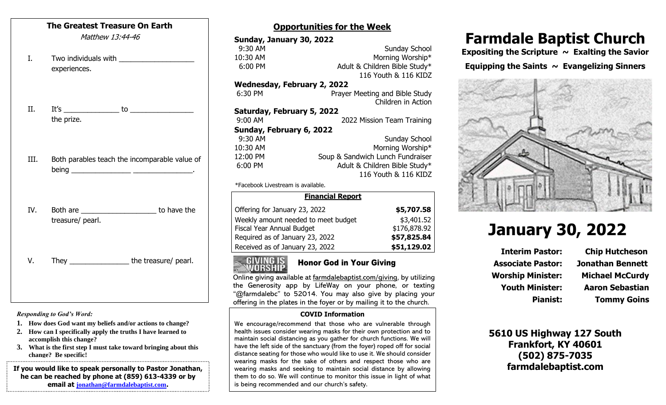#### **The Greatest Treasure On Earth**

Matthew 13:44-46

- I. Two individuals with experiences.
- II. It's \_\_\_\_\_\_\_\_\_\_\_\_\_\_ to \_\_\_\_\_\_\_\_\_\_\_\_\_\_\_\_ the prize.
- III. Both parables teach the incomparable value of being \_\_\_\_\_\_\_\_\_\_\_\_\_\_\_ \_\_\_\_\_\_\_\_\_\_\_\_\_\_\_.
- IV. Both are to have the treasure/ pearl.

V. They \_\_\_\_\_\_\_\_\_\_\_\_\_\_\_\_\_\_\_the treasure/ pearl.

*Responding to God's Word:*

- **1. How does God want my beliefs and/or actions to change?**
- **2. How can I specifically apply the truths I have learned to accomplish this change?**
- **3. What is the first step I must take toward bringing about this change? Be specific!**

**If you would like to speak personally to Pastor Jonathan, he can be reached by phone at (859) 613-4339 or by email at [jonathan@farmdalebaptist.com](mailto:jonathan@farmdalebaptist.com).**

### **Opportunities for the Week**

| Sunday, January 30, 2022                      |                                  |
|-----------------------------------------------|----------------------------------|
| 9:30 AM                                       | <b>Sunday School</b>             |
| 10:30 AM                                      | Morning Worship*                 |
| 6:00 PM                                       | Adult & Children Bible Study*    |
|                                               | 116 Youth & 116 KIDZ             |
| <b>Wednesday, February 2, 2022</b>            |                                  |
| 6:30 PM                                       | Prayer Meeting and Bible Study   |
|                                               | Children in Action               |
| Saturday, February 5, 2022                    |                                  |
| 9:00 AM                                       | 2022 Mission Team Training       |
| Sunday, February 6, 2022                      |                                  |
| 9:30 AM                                       | Sunday School                    |
| 10:30 AM                                      | Morning Worship*                 |
| 12:00 PM                                      | Soup & Sandwich Lunch Fundraiser |
| 6:00 PM                                       | Adult & Children Bible Study*    |
|                                               | 116 Youth & 116 KIDZ             |
| $*F$ aaabaal $\cdot$ Liucatussus ja susilahla |                                  |

\*Facebook Livestream is available.

| <b>Financial Report</b>             |              |  |
|-------------------------------------|--------------|--|
| Offering for January 23, 2022       | \$5,707.58   |  |
| Weekly amount needed to meet budget | \$3,401.52   |  |
| Fiscal Year Annual Budget           | \$176,878.92 |  |
| Required as of January 23, 2022     | \$57,825.84  |  |
| Received as of January 23, 2022     | \$51,129.02  |  |



#### Honor God in Your Giving

Online giving available at farmdalebaptist.com/giving, by utilizing the Generosity app by LifeWay on your phone, or texting "@farmdalebc" to 52014. You may also give by placing your offering in the plates in the foyer or by mailing it to the church.

#### **COVID Information**

We encourage/recommend that those who are vulnerable through health issues consider wearing masks for their own protection and to maintain social distancing as you gather for church functions. We will have the left side of the sanctuary (from the foyer) roped off for social distance seating for those who would like to use it. We should consider wearing masks for the sake of others and respect those who are wearing masks and seeking to maintain social distance by allowing them to do so. We will continue to monitor this issue in light of what is being recommended and our church's safety.

## **Farmdale Baptist Church**

 $\frac{1}{2}$  and  $\frac{1}{2}$  and  $\frac{1}{2}$ **Expositing the Scripture ~ Exalting the Savior**

**Equipping the Saints ~ Evangelizing Sinners**



# **January 30, 2022**

**Associate Pastor: Jonathan Bennett Worship Minister: Michael McCurdy**

**Interim Pastor: Chip Hutcheson Youth Minister: Aaron Sebastian Pianist: Tommy Goins**

**5610 US Highway 127 South Frankfort, KY 40601 (502) 875-7035 farmdalebaptist.com**